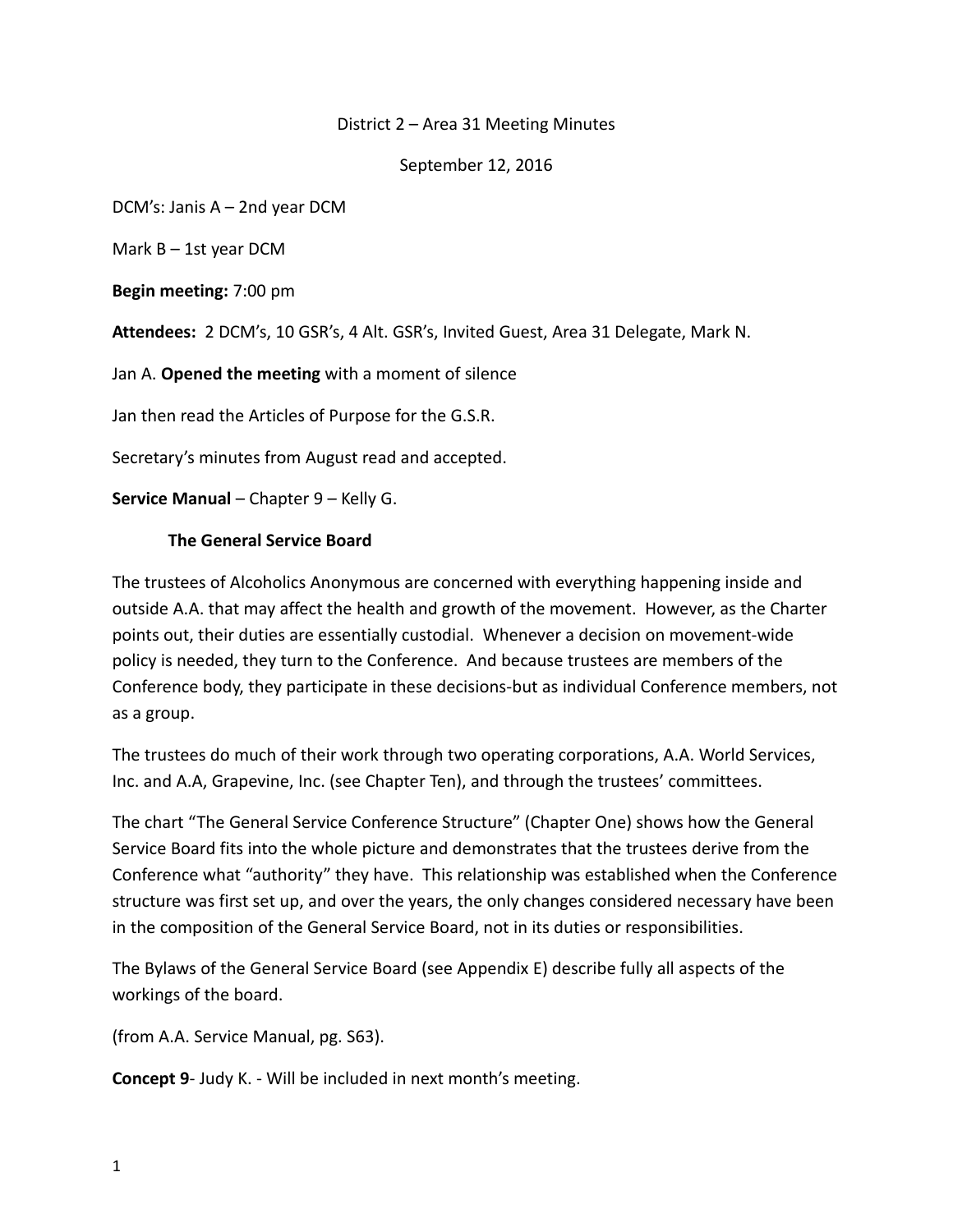## District 2 – Area 31 Meeting Minutes

September 12, 2016

DCM's: Janis A – 2nd year DCM

Mark  $B - 1$ st year DCM

**Begin meeting:** 7:00 pm

**Attendees:** 2 DCM's, 10 GSR's, 4 Alt. GSR's, Invited Guest, Area 31 Delegate, Mark N.

Jan A. **Opened the meeting** with a moment of silence

Jan then read the Articles of Purpose for the G.S.R.

Secretary's minutes from August read and accepted.

**Service Manual** – Chapter 9 – Kelly G.

#### **The General Service Board**

The trustees of Alcoholics Anonymous are concerned with everything happening inside and outside A.A. that may affect the health and growth of the movement. However, as the Charter points out, their duties are essentially custodial. Whenever a decision on movement-wide policy is needed, they turn to the Conference. And because trustees are members of the Conference body, they participate in these decisions-but as individual Conference members, not as a group.

The trustees do much of their work through two operating corporations, A.A. World Services, Inc. and A.A, Grapevine, Inc. (see Chapter Ten), and through the trustees' committees.

The chart "The General Service Conference Structure" (Chapter One) shows how the General Service Board fits into the whole picture and demonstrates that the trustees derive from the Conference what "authority" they have. This relationship was established when the Conference structure was first set up, and over the years, the only changes considered necessary have been in the composition of the General Service Board, not in its duties or responsibilities.

The Bylaws of the General Service Board (see Appendix E) describe fully all aspects of the workings of the board.

(from A.A. Service Manual, pg. S63).

**Concept 9**- Judy K. - Will be included in next month's meeting.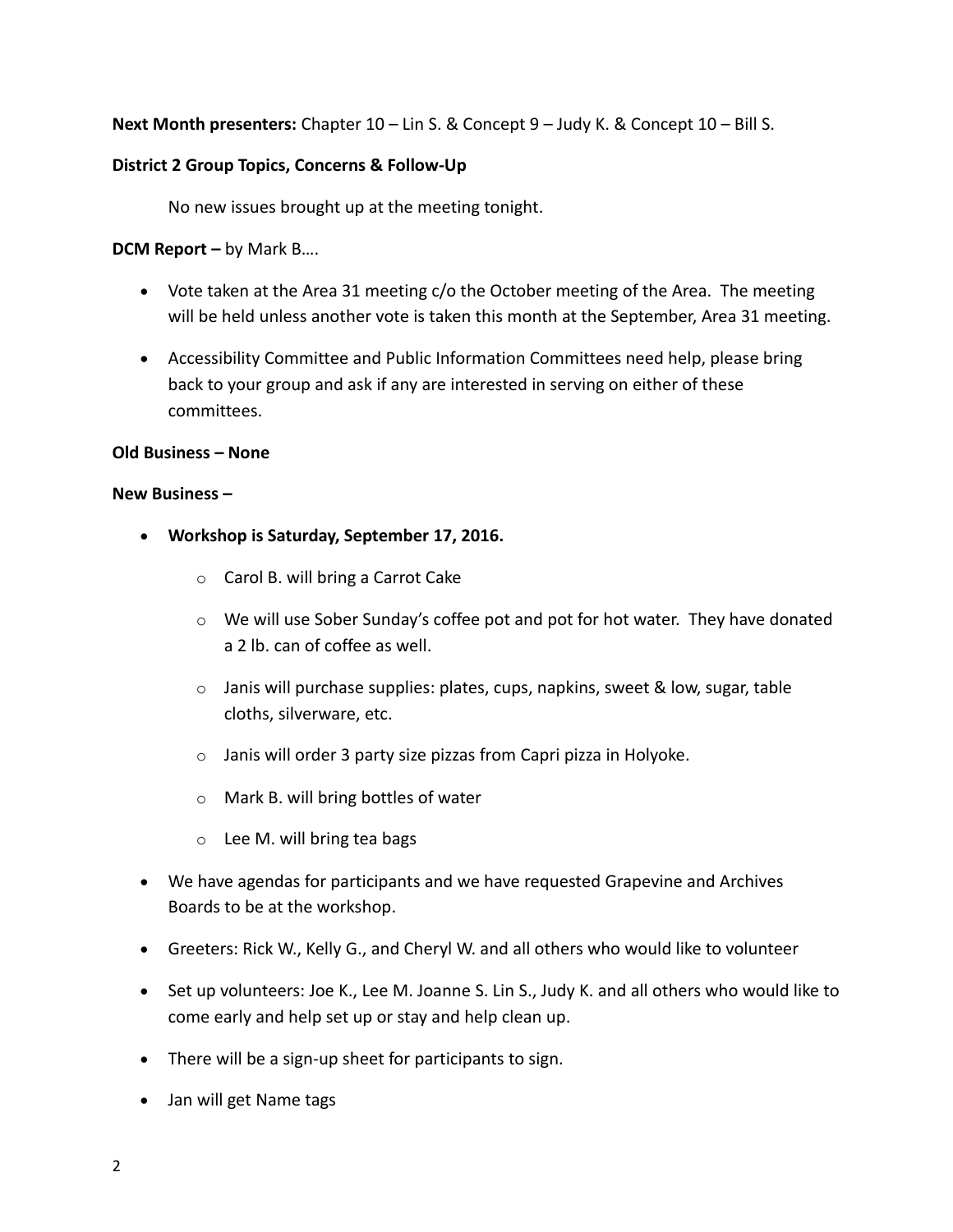**Next Month presenters:** Chapter 10 – Lin S. & Concept 9 – Judy K. & Concept 10 – Bill S.

## **District 2 Group Topics, Concerns & Follow-Up**

No new issues brought up at the meeting tonight.

**DCM Report –** by Mark B….

- Vote taken at the Area 31 meeting c/o the October meeting of the Area. The meeting will be held unless another vote is taken this month at the September, Area 31 meeting.
- Accessibility Committee and Public Information Committees need help, please bring back to your group and ask if any are interested in serving on either of these committees.

# **Old Business – None**

#### **New Business –**

- **Workshop is Saturday, September 17, 2016.**
	- o Carol B. will bring a Carrot Cake
	- $\circ$  We will use Sober Sunday's coffee pot and pot for hot water. They have donated a 2 lb. can of coffee as well.
	- $\circ$  Janis will purchase supplies: plates, cups, napkins, sweet & low, sugar, table cloths, silverware, etc.
	- $\circ$  Janis will order 3 party size pizzas from Capri pizza in Holyoke.
	- o Mark B. will bring bottles of water
	- o Lee M. will bring tea bags
- We have agendas for participants and we have requested Grapevine and Archives Boards to be at the workshop.
- Greeters: Rick W., Kelly G., and Cheryl W. and all others who would like to volunteer
- Set up volunteers: Joe K., Lee M. Joanne S. Lin S., Judy K. and all others who would like to come early and help set up or stay and help clean up.
- There will be a sign-up sheet for participants to sign.
- Jan will get Name tags